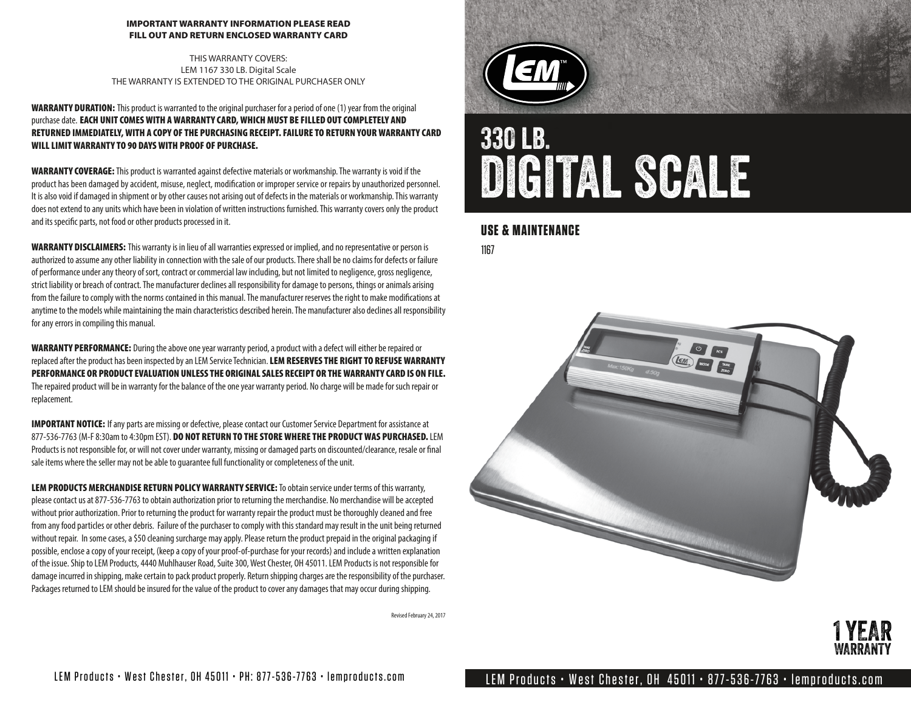#### IMPORTANT WARRANTY INFORMATION PLEASE READ FILL OUT AND RETURN ENCLOSED WARRANTY CARD

THIS WARRANTY COVERS: LEM 1167 330 LB. Digital Scale THE WARRANTY IS EXTENDED TO THE ORIGINAL PURCHASER ONLY

#### WARRANTY DURATION: This product is warranted to the original purchaser for a period of one (1) year from the original purchase date. EACH UNIT COMES WITH A WARRANTY CARD, WHICH MUST BE FILLED OUT COMPLETELY AND RETURNED IMMEDIATELY, WITH A COPY OF THE PURCHASING RECEIPT. FAILURE TO RETURN YOUR WARRANTY CARD WILL LIMIT WARRANTY TO 90 DAYS WITH PROOF OF PURCHASE.

WARRANTY COVERAGE: This product is warranted against defective materials or workmanship. The warranty is void if the product has been damaged by accident, misuse, neglect, modification or improper service or repairs by unauthorized personnel. It is also void if damaged in shipment or by other causes not arising out of defects in the materials or workmanship. This warranty does not extend to any units which have been in violation of written instructions furnished. This warranty covers only the product and its specific parts, not food or other products processed in it.

WARRANTY DISCLAIMERS: This warranty is in lieu of all warranties expressed or implied, and no representative or person is authorized to assume any other liability in connection with the sale of our products. There shall be no claims for defects or failure of performance under any theory of sort, contract or commercial law including, but not limited to negligence, gross negligence, strict liability or breach of contract. The manufacturer declines all responsibility for damage to persons, things or animals arising from the failure to comply with the norms contained in this manual. The manufacturer reserves the right to make modifications at anytime to the models while maintaining the main characteristics described herein. The manufacturer also declines all responsibility for any errors in compiling this manual.

WARRANTY PERFORMANCE: During the above one year warranty period, a product with a defect will either be repaired or replaced after the product has been inspected by an LEM Service Technician. LEM RESERVES THE RIGHT TO REFUSE WARRANTY PERFORMANCE OR PRODUCT EVALUATION UNLESS THE ORIGINAL SALES RECEIPT OR THE WARRANTY CARD IS ON FILE. The repaired product will be in warranty for the balance of the one year warranty period. No charge will be made for such repair or replacement.

IMPORTANT NOTICE: If any parts are missing or defective, please contact our Customer Service Department for assistance at 877-536-7763 (M-F 8:30am to 4:30pm EST). DO NOT RETURN TO THE STORE WHERE THE PRODUCT WAS PURCHASED. LEM Products is not responsible for, or will not cover under warranty, missing or damaged parts on discounted/clearance, resale or final sale items where the seller may not be able to guarantee full functionality or completeness of the unit.

LEM PRODUCTS MERCHANDISE RETURN POLICY WARRANTY SERVICE: To obtain service under terms of this warranty, please contact us at 877-536-7763 to obtain authorization prior to returning the merchandise. No merchandise will be accepted without prior authorization. Prior to returning the product for warranty repair the product must be thoroughly cleaned and free from any food particles or other debris. Failure of the purchaser to comply with this standard may result in the unit being returned without repair. In some cases, a \$50 cleaning surcharge may apply. Please return the product prepaid in the original packaging if possible, enclose a copy of your receipt, (keep a copy of your proof-of-purchase for your records) and include a written explanation of the issue. Ship to LEM Products, 4440 Muhlhauser Road, Suite 300, West Chester, OH 45011. LEM Products is not responsible for damage incurred in shipping, make certain to pack product properly. Return shipping charges are the responsibility of the purchaser. Packages returned to LEM should be insured for the value of the product to cover any damages that may occur during shipping.

Revised February 24, 2017



# 330 lb. DIGITAL SCALE

#### **USE & MAINTENANCE**

1167